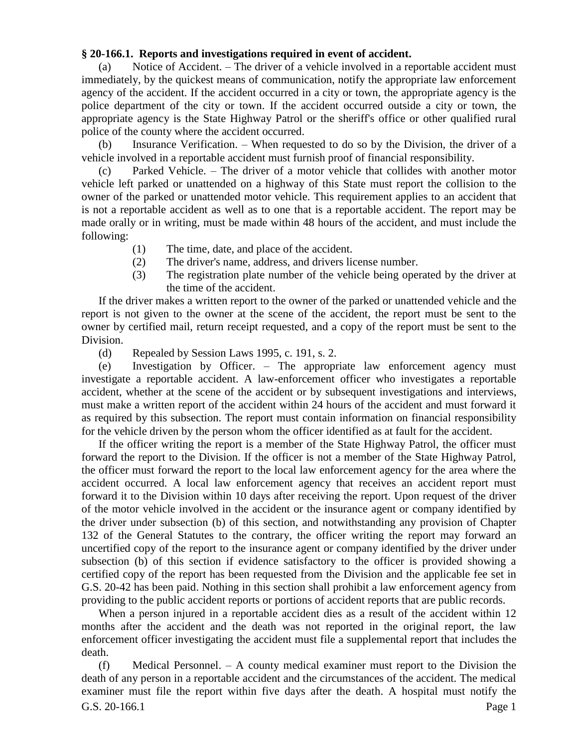## **§ 20-166.1. Reports and investigations required in event of accident.**

(a) Notice of Accident. – The driver of a vehicle involved in a reportable accident must immediately, by the quickest means of communication, notify the appropriate law enforcement agency of the accident. If the accident occurred in a city or town, the appropriate agency is the police department of the city or town. If the accident occurred outside a city or town, the appropriate agency is the State Highway Patrol or the sheriff's office or other qualified rural police of the county where the accident occurred.

(b) Insurance Verification. – When requested to do so by the Division, the driver of a vehicle involved in a reportable accident must furnish proof of financial responsibility.

Parked Vehicle. – The driver of a motor vehicle that collides with another motor vehicle left parked or unattended on a highway of this State must report the collision to the owner of the parked or unattended motor vehicle. This requirement applies to an accident that is not a reportable accident as well as to one that is a reportable accident. The report may be made orally or in writing, must be made within 48 hours of the accident, and must include the following:

- (1) The time, date, and place of the accident.
- (2) The driver's name, address, and drivers license number.
- (3) The registration plate number of the vehicle being operated by the driver at the time of the accident.

If the driver makes a written report to the owner of the parked or unattended vehicle and the report is not given to the owner at the scene of the accident, the report must be sent to the owner by certified mail, return receipt requested, and a copy of the report must be sent to the Division.

(d) Repealed by Session Laws 1995, c. 191, s. 2.

(e) Investigation by Officer. – The appropriate law enforcement agency must investigate a reportable accident. A law-enforcement officer who investigates a reportable accident, whether at the scene of the accident or by subsequent investigations and interviews, must make a written report of the accident within 24 hours of the accident and must forward it as required by this subsection. The report must contain information on financial responsibility for the vehicle driven by the person whom the officer identified as at fault for the accident.

If the officer writing the report is a member of the State Highway Patrol, the officer must forward the report to the Division. If the officer is not a member of the State Highway Patrol, the officer must forward the report to the local law enforcement agency for the area where the accident occurred. A local law enforcement agency that receives an accident report must forward it to the Division within 10 days after receiving the report. Upon request of the driver of the motor vehicle involved in the accident or the insurance agent or company identified by the driver under subsection (b) of this section, and notwithstanding any provision of Chapter 132 of the General Statutes to the contrary, the officer writing the report may forward an uncertified copy of the report to the insurance agent or company identified by the driver under subsection (b) of this section if evidence satisfactory to the officer is provided showing a certified copy of the report has been requested from the Division and the applicable fee set in G.S. 20-42 has been paid. Nothing in this section shall prohibit a law enforcement agency from providing to the public accident reports or portions of accident reports that are public records.

When a person injured in a reportable accident dies as a result of the accident within 12 months after the accident and the death was not reported in the original report, the law enforcement officer investigating the accident must file a supplemental report that includes the death.

G.S. 20-166.1 Page 1 (f) Medical Personnel. – A county medical examiner must report to the Division the death of any person in a reportable accident and the circumstances of the accident. The medical examiner must file the report within five days after the death. A hospital must notify the